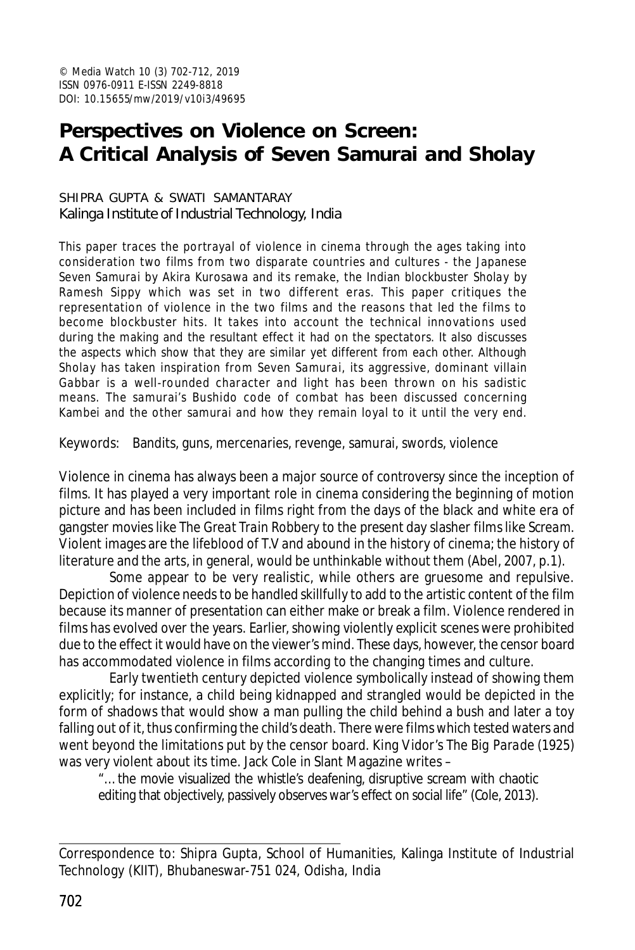# **Perspectives on Violence on Screen: A Critical Analysis of** *Seven Samurai* **and** *Sholay*

#### SHIPRA GUPTA & SWATI SAMANTARAY Kalinga Institute of Industrial Technology, India

This paper traces the portrayal of violence in cinema through the ages taking into consideration two films from two disparate countries and cultures - the Japanese *Seven Samurai* by Akira Kurosawa and its remake, the Indian blockbuster *Sholay* by Ramesh Sippy which was set in two different eras. This paper critiques the representation of violence in the two films and the reasons that led the films to become blockbuster hits. It takes into account the technical innovations used during the making and the resultant effect it had on the spectators. It also discusses the aspects which show that they are similar yet different from each other. Although *Sholay* has taken inspiration from *Seven Samurai*, its aggressive, dominant villain Gabbar is a well-rounded character and light has been thrown on his sadistic means. The samurai's Bushido code of combat has been discussed concerning Kambei and the other samurai and how they remain loyal to it until the very end.

Keywords: Bandits, guns, mercenaries, revenge, samurai, swords, violence

Violence in cinema has always been a major source of controversy since the inception of films. It has played a very important role in cinema considering the beginning of motion picture and has been included in films right from the days of the black and white era of gangster movies like *The Great Train Robbery* to the present day slasher films like *Scream.* Violent images are the lifeblood of T.V and abound in the history of cinema; the history of literature and the arts, in general, would be unthinkable without them (Abel, 2007, p.1).

Some appear to be very realistic, while others are gruesome and repulsive. Depiction of violence needs to be handled skillfully to add to the artistic content of the film because its manner of presentation can either make or break a film. Violence rendered in films has evolved over the years. Earlier, showing violently explicit scenes were prohibited due to the effect it would have on the viewer's mind. These days, however, the censor board has accommodated violence in films according to the changing times and culture.

Early twentieth century depicted violence symbolically instead of showing them explicitly; for instance, a child being kidnapped and strangled would be depicted in the form of shadows that would show a man pulling the child behind a bush and later a toy falling out of it, thus confirming the child's death. There were films which tested waters and went beyond the limitations put by the censor board. King Vidor's *The Big Parade* (1925) was very violent about its time. Jack Cole in Slant Magazine writes –

"… the movie visualized the whistle's deafening, disruptive scream with chaotic editing that objectively, passively observes war's effect on social life" (Cole, 2013).

Correspondence to: Shipra Gupta, School of Humanities, Kalinga Institute of Industrial Technology (KIIT), Bhubaneswar-751 024, Odisha, India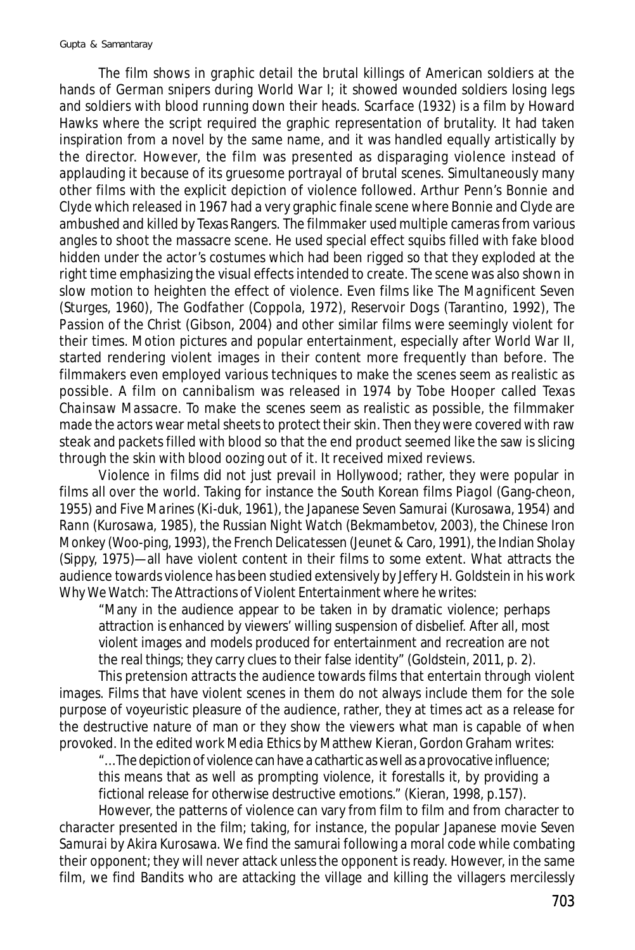The film shows in graphic detail the brutal killings of American soldiers at the hands of German snipers during World War I; it showed wounded soldiers losing legs and soldiers with blood running down their heads. *Scarface* (1932) is a film by Howard Hawks where the script required the graphic representation of brutality. It had taken inspiration from a novel by the same name, and it was handled equally artistically by the director. However, the film was presented as disparaging violence instead of applauding it because of its gruesome portrayal of brutal scenes. Simultaneously many other films with the explicit depiction of violence followed. Arthur Penn's *Bonnie and Clyde* which released in 1967 had a very graphic finale scene where Bonnie and Clyde are ambushed and killed by Texas Rangers. The filmmaker used multiple cameras from various angles to shoot the massacre scene. He used special effect squibs filled with fake blood hidden under the actor's costumes which had been rigged so that they exploded at the right time emphasizing the visual effects intended to create. The scene was also shown in slow motion to heighten the effect of violence. Even films like *The Magnificent Seven* (Sturges, 1960), *The Godfather* (Coppola, 1972), *Reservoir Dogs* (Tarantino, 1992), *The Passion of the Christ* (Gibson, 2004) and other similar films were seemingly violent for their times. Motion pictures and popular entertainment, especially after World War II, started rendering violent images in their content more frequently than before. The filmmakers even employed various techniques to make the scenes seem as realistic as possible. A film on cannibalism was released in 1974 by Tobe Hooper called *Texas Chainsaw Massacre*. To make the scenes seem as realistic as possible, the filmmaker made the actors wear metal sheets to protect their skin. Then they were covered with raw steak and packets filled with blood so that the end product seemed like the saw is slicing through the skin with blood oozing out of it. It received mixed reviews.

Violence in films did not just prevail in Hollywood; rather, they were popular in films all over the world. Taking for instance the South Korean films *Piagol* (Gang-cheon, 1955) and *Five Marines* (Ki-duk, 1961), the Japanese *Seven Samurai* (Kurosawa, 1954) and *Rann* (Kurosawa, 1985), the Russian *Night Watch* (Bekmambetov, 2003), the Chinese *Iron Monkey* (Woo-ping, 1993), the French *Delicatessen* (Jeunet & Caro, 1991), the Indian *Sholay* (Sippy, 1975)—all have violent content in their films to some extent. What attracts the audience towards violence has been studied extensively by Jeffery H. Goldstein in his work *Why We Watch: The Attractions of Violent Entertainment* where he writes:

"Many in the audience appear to be taken in by dramatic violence; perhaps attraction is enhanced by viewers' willing suspension of disbelief. After all, most violent images and models produced for entertainment and recreation are not the real things; they carry clues to their false identity" (Goldstein, 2011, p. 2).

This pretension attracts the audience towards films that entertain through violent images. Films that have violent scenes in them do not always include them for the sole purpose of voyeuristic pleasure of the audience, rather, they at times act as a release for the destructive nature of man or they show the viewers what man is capable of when provoked. In the edited work *Media Ethics* by Matthew Kieran, Gordon Graham writes:

"… The depiction of violence can have a cathartic as well as a provocative influence; this means that as well as prompting violence, it forestalls it, by providing a fictional release for otherwise destructive emotions." (Kieran, 1998, p.157).

However, the patterns of violence can vary from film to film and from character to character presented in the film; taking, for instance, the popular Japanese movie *Seven Samurai* by Akira Kurosawa. We find the samurai following a moral code while combating their opponent; they will never attack unless the opponent is ready. However, in the same film, we find Bandits who are attacking the village and killing the villagers mercilessly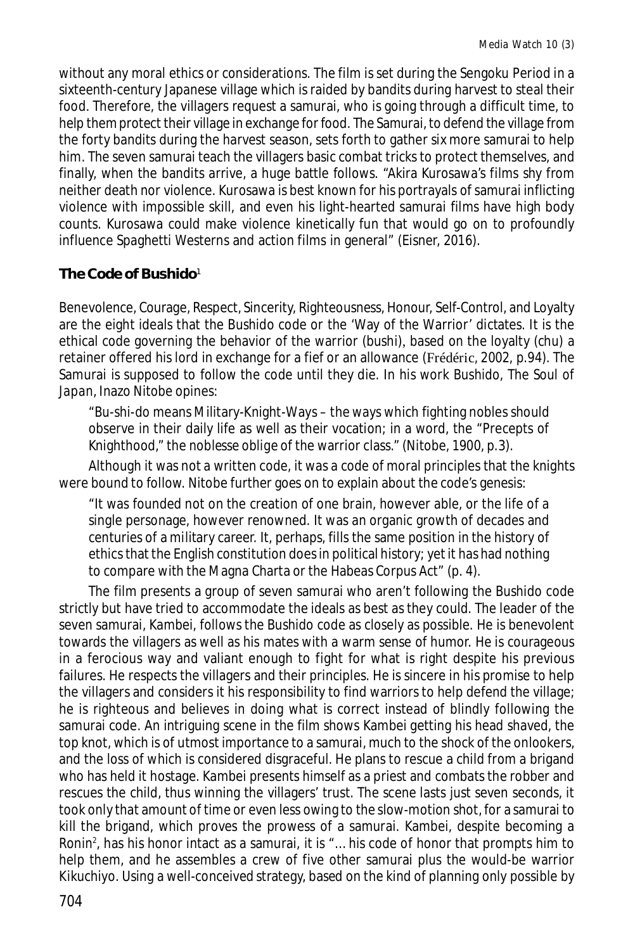without any moral ethics or considerations. The film is set during the Sengoku Period in a sixteenth-century Japanese village which is raided by bandits during harvest to steal their food. Therefore, the villagers request a samurai, who is going through a difficult time, to help them protect their village in exchange for food. The Samurai, to defend the village from the forty bandits during the harvest season, sets forth to gather six more samurai to help him. The seven samurai teach the villagers basic combat tricks to protect themselves, and finally, when the bandits arrive, a huge battle follows. "Akira Kurosawa's films shy from neither death nor violence. Kurosawa is best known for his portrayals of samurai inflicting violence with impossible skill, and even his light-hearted samurai films have high body counts. Kurosawa could make violence kinetically fun that would go on to profoundly influence Spaghetti Westerns and action films in general" (Eisner, 2016).

## **The Code of Bushido**<sup>1</sup>

Benevolence, Courage, Respect, Sincerity, Righteousness, Honour, Self-Control, and Loyalty are the eight ideals that the Bushido code or the 'Way of the Warrior' dictates. It is the ethical code governing the behavior of the warrior (bushi), based on the loyalty *(chu)* a retainer offered his lord in exchange for a fief or an allowance (Frédéric, 2002, p.94). The Samurai is supposed to follow the code until they die. In his work *Bushido, The Soul of Japan*, Inazo Nitobe opines:

"*Bu-shi-do* means Military-Knight-Ways – the ways which fighting nobles should observe in their daily life as well as their vocation; in a word, the "Precepts of Knighthood," the *noblesse oblige* of the warrior class." (Nitobe, 1900, p.3).

Although it was not a written code, it was a code of moral principles that the knights were bound to follow. Nitobe further goes on to explain about the code's genesis:

"It was founded not on the creation of one brain, however able, or the life of a single personage, however renowned. It was an organic growth of decades and centuries of a military career. It, perhaps, fills the same position in the history of ethics that the English constitution does in political history; yet it has had nothing to compare with the Magna Charta or the Habeas Corpus Act" (p. 4).

The film presents a group of seven samurai who aren't following the Bushido code strictly but have tried to accommodate the ideals as best as they could. The leader of the seven samurai, Kambei, follows the Bushido code as closely as possible. He is benevolent towards the villagers as well as his mates with a warm sense of humor. He is courageous in a ferocious way and valiant enough to fight for what is right despite his previous failures. He respects the villagers and their principles. He is sincere in his promise to help the villagers and considers it his responsibility to find warriors to help defend the village; he is righteous and believes in doing what is correct instead of blindly following the samurai code. An intriguing scene in the film shows Kambei getting his head shaved, the top knot, which is of utmost importance to a samurai, much to the shock of the onlookers, and the loss of which is considered disgraceful. He plans to rescue a child from a brigand who has held it hostage. Kambei presents himself as a priest and combats the robber and rescues the child, thus winning the villagers' trust. The scene lasts just seven seconds, it took only that amount of time or even less owing to the slow-motion shot, for a samurai to kill the brigand, which proves the prowess of a samurai. Kambei, despite becoming a Ronin<sup>2</sup>, has his honor intact as a samurai, it is "... his code of honor that prompts him to help them, and he assembles a crew of five other samurai plus the would-be warrior Kikuchiyo. Using a well-conceived strategy, based on the kind of planning only possible by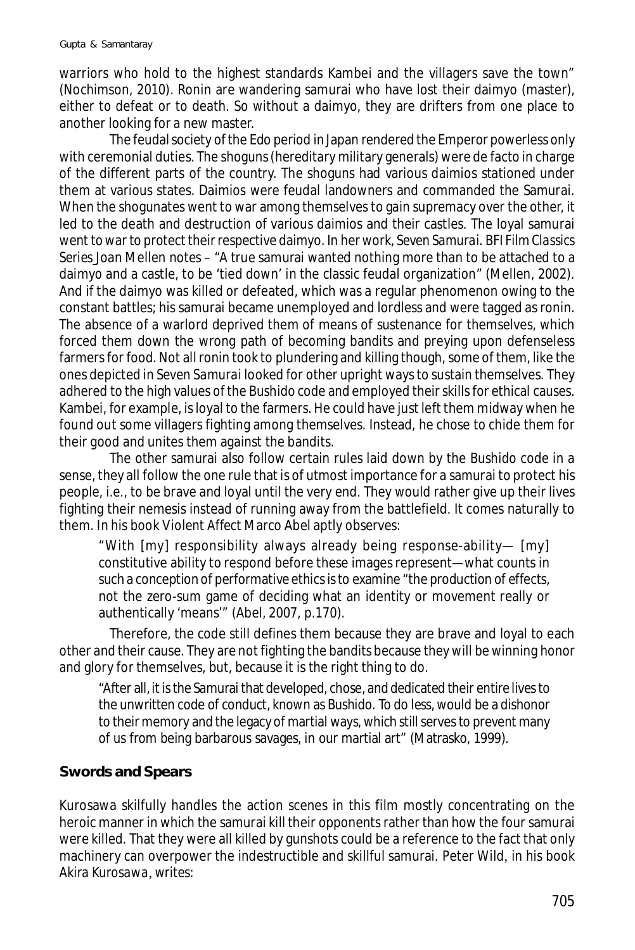warriors who hold to the highest standards Kambei and the villagers save the town" (Nochimson, 2010). Ronin are wandering samurai who have lost their daimyo (master), either to defeat or to death. So without a daimyo, they are drifters from one place to another looking for a new master.

The feudal society of the Edo period in Japan rendered the Emperor powerless only with ceremonial duties. The shoguns (hereditary military generals) were de facto in charge of the different parts of the country. The shoguns had various daimios stationed under them at various states. Daimios were feudal landowners and commanded the Samurai. When the shogunates went to war among themselves to gain supremacy over the other, it led to the death and destruction of various daimios and their castles. The loyal samurai went to war to protect their respective daimyo. In her work, *Seven Samurai. BFI Film Classics Series* Joan Mellen notes – "A true samurai wanted nothing more than to be attached to a daimyo and a castle, to be 'tied down' in the classic feudal organization" (Mellen, 2002). And if the daimyo was killed or defeated, which was a regular phenomenon owing to the constant battles; his samurai became unemployed and lordless and were tagged as ronin. The absence of a warlord deprived them of means of sustenance for themselves, which forced them down the wrong path of becoming bandits and preying upon defenseless farmers for food. Not all ronin took to plundering and killing though, some of them, like the ones depicted in *Seven Samurai* looked for other upright ways to sustain themselves. They adhered to the high values of the Bushido code and employed their skills for ethical causes. Kambei, for example, is loyal to the farmers. He could have just left them midway when he found out some villagers fighting among themselves. Instead, he chose to chide them for their good and unites them against the bandits.

The other samurai also follow certain rules laid down by the Bushido code in a sense, they all follow the one rule that is of utmost importance for a samurai to protect his people, i.e., to be brave and loyal until the very end. They would rather give up their lives fighting their nemesis instead of running away from the battlefield. It comes naturally to them. In his book *Violent Affect* Marco Abel aptly observes:

"With [my] responsibility always already being response-ability— [my] constitutive ability to respond before these images represent—what counts in such a conception of performative ethics is to examine "the production of effects, not the zero-sum game of deciding what an identity or movement really or authentically 'means'" (Abel, 2007, p.170).

Therefore, the code still defines them because they are brave and loyal to each other and their cause. They are not fighting the bandits because they will be winning honor and glory for themselves, but, because it is the right thing to do.

"After all, it is the Samurai that developed, chose, and dedicated their entire lives to the unwritten code of conduct, known as Bushido. To do less, would be a dishonor to their memory and the legacy of martial ways, which still serves to prevent many of us from being barbarous savages, in our martial art" (Matrasko, 1999).

### **Swords and Spears**

Kurosawa skilfully handles the action scenes in this film mostly concentrating on the heroic manner in which the samurai kill their opponents rather than how the four samurai were killed. That they were all killed by gunshots could be a reference to the fact that only machinery can overpower the indestructible and skillful samurai. Peter Wild, in his book *Akira Kurosawa,* writes: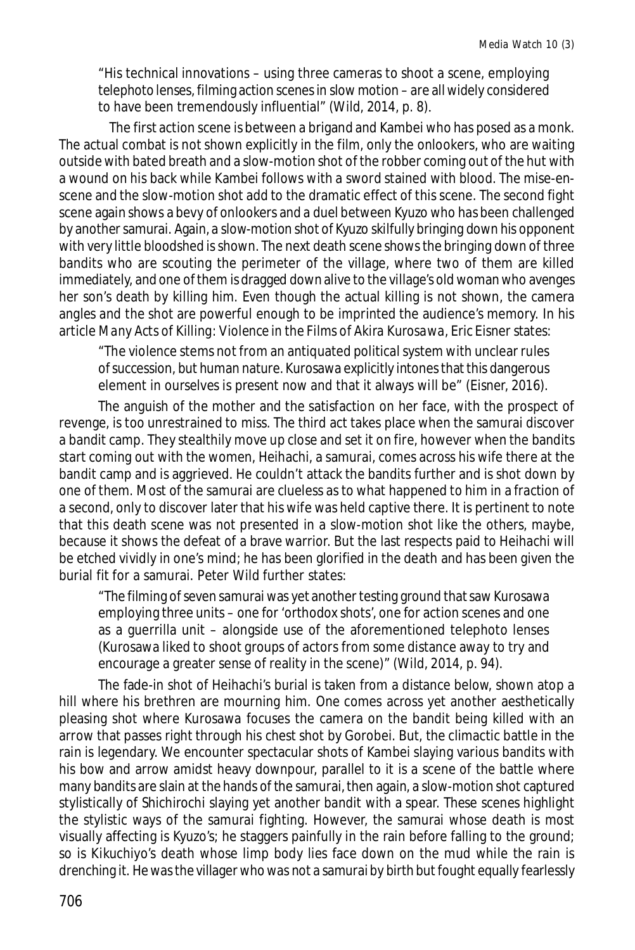"His technical innovations – using three cameras to shoot a scene, employing telephoto lenses, filming action scenes in slow motion – are all widely considered to have been tremendously influential" (Wild, 2014, p. 8).

The first action scene is between a brigand and Kambei who has posed as a monk. The actual combat is not shown explicitly in the film, only the onlookers, who are waiting outside with bated breath and a slow-motion shot of the robber coming out of the hut with a wound on his back while Kambei follows with a sword stained with blood. The mise-enscene and the slow-motion shot add to the dramatic effect of this scene. The second fight scene again shows a bevy of onlookers and a duel between Kyuzo who has been challenged by another samurai. Again, a slow-motion shot of Kyuzo skilfully bringing down his opponent with very little bloodshed is shown. The next death scene shows the bringing down of three bandits who are scouting the perimeter of the village, where two of them are killed immediately, and one of them is dragged down alive to the village's old woman who avenges her son's death by killing him. Even though the actual killing is not shown, the camera angles and the shot are powerful enough to be imprinted the audience's memory. In his article *Many Acts of Killing: Violence in the Films of Akira Kurosawa*, Eric Eisner states:

"The violence stems not from an antiquated political system with unclear rules of succession, but human nature. Kurosawa explicitly intones that this dangerous element in ourselves is present now and that it always will be" (Eisner, 2016).

The anguish of the mother and the satisfaction on her face, with the prospect of revenge, is too unrestrained to miss. The third act takes place when the samurai discover a bandit camp. They stealthily move up close and set it on fire, however when the bandits start coming out with the women, Heihachi, a samurai, comes across his wife there at the bandit camp and is aggrieved. He couldn't attack the bandits further and is shot down by one of them. Most of the samurai are clueless as to what happened to him in a fraction of a second, only to discover later that his wife was held captive there. It is pertinent to note that this death scene was not presented in a slow-motion shot like the others, maybe, because it shows the defeat of a brave warrior. But the last respects paid to Heihachi will be etched vividly in one's mind; he has been glorified in the death and has been given the burial fit for a samurai. Peter Wild further states:

"The filming of seven samurai was yet another testing ground that saw Kurosawa employing three units – one for 'orthodox shots', one for action scenes and one as a guerrilla unit – alongside use of the aforementioned telephoto lenses (Kurosawa liked to shoot groups of actors from some distance away to try and encourage a greater sense of reality in the scene)" (Wild, 2014, p. 94).

The fade-in shot of Heihachi's burial is taken from a distance below, shown atop a hill where his brethren are mourning him. One comes across yet another aesthetically pleasing shot where Kurosawa focuses the camera on the bandit being killed with an arrow that passes right through his chest shot by Gorobei. But, the climactic battle in the rain is legendary. We encounter spectacular shots of Kambei slaying various bandits with his bow and arrow amidst heavy downpour, parallel to it is a scene of the battle where many bandits are slain at the hands of the samurai, then again, a slow-motion shot captured stylistically of Shichirochi slaying yet another bandit with a spear. These scenes highlight the stylistic ways of the samurai fighting. However, the samurai whose death is most visually affecting is Kyuzo's; he staggers painfully in the rain before falling to the ground; so is Kikuchiyo's death whose limp body lies face down on the mud while the rain is drenching it. He was the villager who was not a samurai by birth but fought equally fearlessly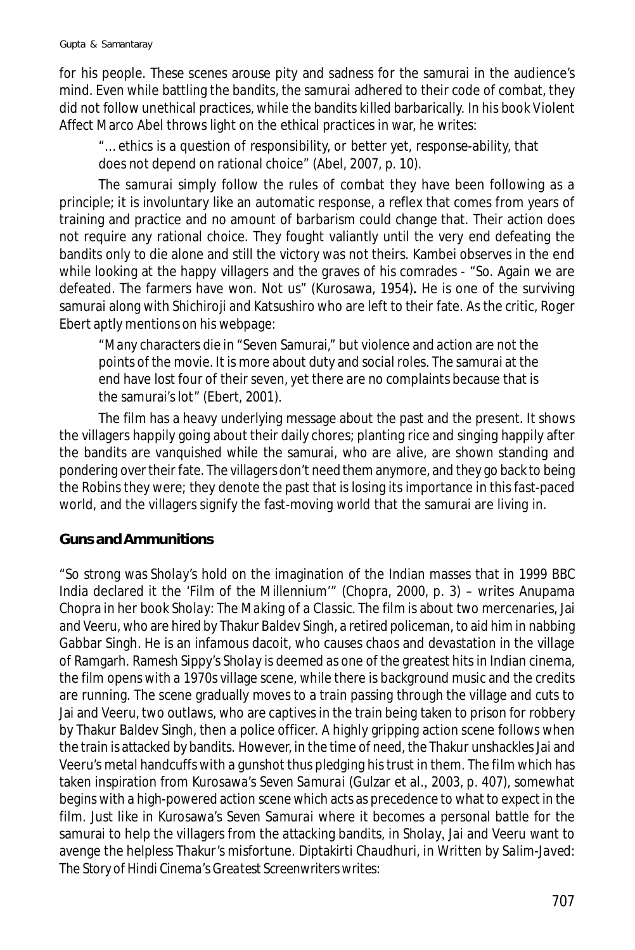for his people. These scenes arouse pity and sadness for the samurai in the audience's mind. Even while battling the bandits, the samurai adhered to their code of combat, they did not follow unethical practices, while the bandits killed barbarically. In his book *Violent Affect* Marco Abel throws light on the ethical practices in war, he writes:

"… ethics is a question of responsibility, or better yet, response-ability, that does not depend on rational choice" (Abel, 2007, p. 10).

The samurai simply follow the rules of combat they have been following as a principle; it is involuntary like an automatic response, a reflex that comes from years of training and practice and no amount of barbarism could change that. Their action does not require any rational choice. They fought valiantly until the very end defeating the bandits only to die alone and still the victory was not theirs. Kambei observes in the end while looking at the happy villagers and the graves of his comrades - "So. Again we are defeated. The farmers have won. Not us" (Kurosawa, 1954)**.** He is one of the surviving samurai along with Shichiroji and Katsushiro who are left to their fate. As the critic, Roger Ebert aptly mentions on his webpage:

"Many characters die in "Seven Samurai," but violence and action are not the points of the movie. It is more about duty and social roles. The samurai at the end have lost four of their seven, yet there are no complaints because that is the samurai's lot" (Ebert, 2001).

The film has a heavy underlying message about the past and the present. It shows the villagers happily going about their daily chores; planting rice and singing happily after the bandits are vanquished while the samurai, who are alive, are shown standing and pondering over their fate. The villagers don't need them anymore, and they go back to being the Robins they were; they denote the past that is losing its importance in this fast-paced world, and the villagers signify the fast-moving world that the samurai are living in.

## **Guns and Ammunitions**

"So strong was *Sholay*'s hold on the imagination of the Indian masses that in 1999 BBC India declared it the 'Film of the Millennium'" (Chopra, 2000, p. 3) – writes Anupama Chopra in her book *Sholay: The Making of a Classic*. The film is about two mercenaries, Jai and Veeru, who are hired by Thakur Baldev Singh, a retired policeman, to aid him in nabbing Gabbar Singh. He is an infamous dacoit, who causes chaos and devastation in the village of Ramgarh. Ramesh Sippy's *Sholay* is deemed as one of the greatest hits in Indian cinema, the film opens with a 1970s village scene, while there is background music and the credits are running. The scene gradually moves to a train passing through the village and cuts to Jai and Veeru, two outlaws, who are captives in the train being taken to prison for robbery by Thakur Baldev Singh, then a police officer. A highly gripping action scene follows when the train is attacked by bandits. However, in the time of need, the Thakur unshackles Jai and Veeru's metal handcuffs with a gunshot thus pledging his trust in them. The film which has taken inspiration from Kurosawa's *Seven Samurai* (Gulzar et al., 2003, p. 407)*,* somewhat begins with a high-powered action scene which acts as precedence to what to expect in the film. Just like in Kurosawa's *Seven Samurai* where it becomes a personal battle for the samurai to help the villagers from the attacking bandits, in *Sholay,* Jai and Veeru want to avenge the helpless Thakur's misfortune. Diptakirti Chaudhuri, in *Written by Salim-Javed: The Story of Hindi Cinema's Greatest Screenwriters* writes: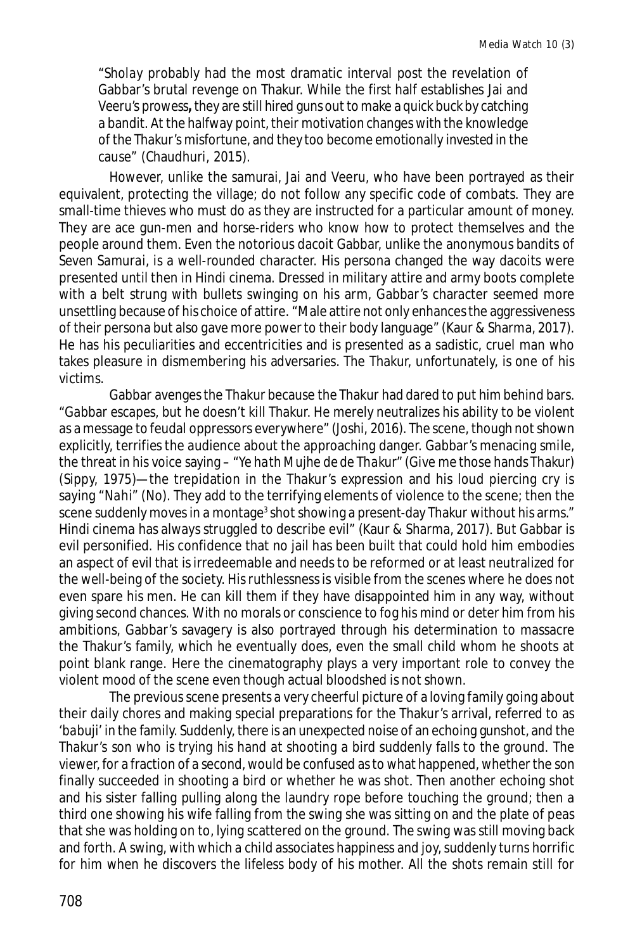"*Sholay* probably had the most dramatic interval post the revelation of Gabbar's brutal revenge on Thakur. While the first half establishes Jai and Veeru's prowess**,** they are still hired guns out to make a quick buck by catching a bandit. At the halfway point, their motivation changes with the knowledge of the Thakur's misfortune, and they too become emotionally invested in the cause" (Chaudhuri, 2015).

However, unlike the samurai, Jai and Veeru, who have been portrayed as their equivalent, protecting the village; do not follow any specific code of combats. They are small-time thieves who must do as they are instructed for a particular amount of money. They are ace gun-men and horse-riders who know how to protect themselves and the people around them. Even the notorious dacoit Gabbar, unlike the anonymous bandits of *Seven Samurai*, is a well-rounded character. His persona changed the way dacoits were presented until then in Hindi cinema. Dressed in military attire and army boots complete with a belt strung with bullets swinging on his arm, Gabbar's character seemed more unsettling because of his choice of attire. "Male attire not only enhances the aggressiveness of their persona but also gave more power to their body language" (Kaur & Sharma, 2017). He has his peculiarities and eccentricities and is presented as a sadistic, cruel man who takes pleasure in dismembering his adversaries. The Thakur, unfortunately, is one of his victims.

Gabbar avenges the Thakur because the Thakur had dared to put him behind bars. "Gabbar escapes, but he doesn't kill Thakur. He merely neutralizes his ability to be violent as a message to feudal oppressors everywhere" (Joshi, 2016). The scene, though not shown explicitly, terrifies the audience about the approaching danger. Gabbar's menacing smile, the threat in his voice saying – "*Ye hath Mujhe de de Thakur*" (Give me those hands Thakur) (Sippy, 1975)—the trepidation in the Thakur's expression and his loud piercing cry is saying "*Nahi*" (No). They add to the terrifying elements of violence to the scene; then the scene suddenly moves in a montage $^3$  shot showing a present-day Thakur without his arms." Hindi cinema has always struggled to describe evil" (Kaur & Sharma, 2017). But Gabbar is evil personified. His confidence that no jail has been built that could hold him embodies an aspect of evil that is irredeemable and needs to be reformed or at least neutralized for the well-being of the society. His ruthlessness is visible from the scenes where he does not even spare his men. He can kill them if they have disappointed him in any way, without giving second chances. With no morals or conscience to fog his mind or deter him from his ambitions, Gabbar's savagery is also portrayed through his determination to massacre the Thakur's family, which he eventually does, even the small child whom he shoots at point blank range. Here the cinematography plays a very important role to convey the violent mood of the scene even though actual bloodshed is not shown.

The previous scene presents a very cheerful picture of a loving family going about their daily chores and making special preparations for the Thakur's arrival, referred to as '*babuji*' in the family. Suddenly, there is an unexpected noise of an echoing gunshot, and the Thakur's son who is trying his hand at shooting a bird suddenly falls to the ground. The viewer, for a fraction of a second, would be confused as to what happened, whether the son finally succeeded in shooting a bird or whether he was shot. Then another echoing shot and his sister falling pulling along the laundry rope before touching the ground; then a third one showing his wife falling from the swing she was sitting on and the plate of peas that she was holding on to, lying scattered on the ground. The swing was still moving back and forth. A swing, with which a child associates happiness and joy, suddenly turns horrific for him when he discovers the lifeless body of his mother. All the shots remain still for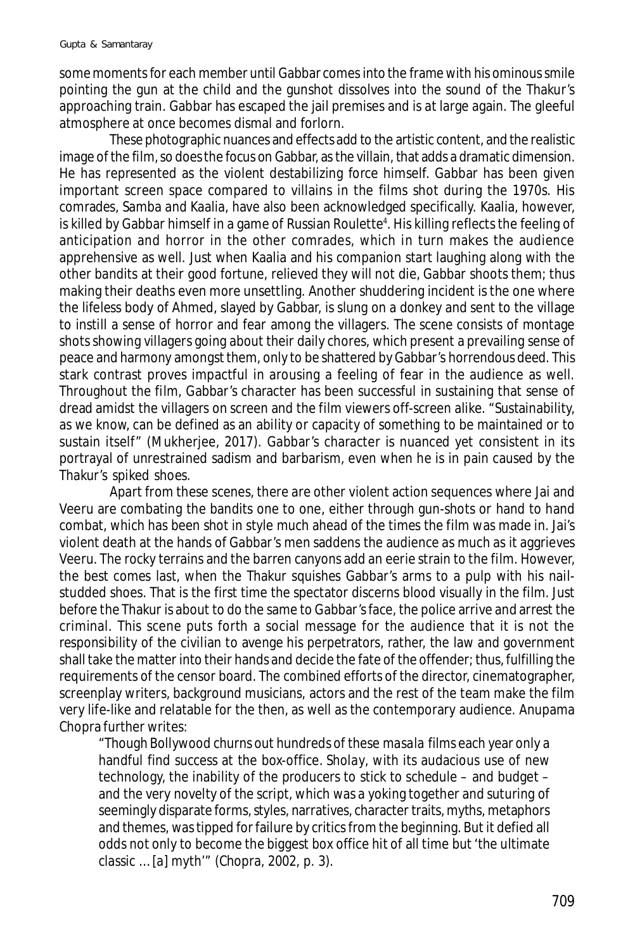some moments for each member until Gabbar comes into the frame with his ominous smile pointing the gun at the child and the gunshot dissolves into the sound of the Thakur's approaching train. Gabbar has escaped the jail premises and is at large again. The gleeful atmosphere at once becomes dismal and forlorn.

These photographic nuances and effects add to the artistic content, and the realistic image of the film, so does the focus on Gabbar, as the villain, that adds a dramatic dimension. He has represented as the violent destabilizing force himself. Gabbar has been given important screen space compared to villains in the films shot during the 1970s. His comrades, Samba and Kaalia, have also been acknowledged specifically. Kaalia, however, is killed by Gabbar himself in a game of Russian Roulette<sup>4</sup>. His killing reflects the feeling of anticipation and horror in the other comrades, which in turn makes the audience apprehensive as well. Just when Kaalia and his companion start laughing along with the other bandits at their good fortune, relieved they will not die, Gabbar shoots them; thus making their deaths even more unsettling. Another shuddering incident is the one where the lifeless body of Ahmed, slayed by Gabbar, is slung on a donkey and sent to the village to instill a sense of horror and fear among the villagers. The scene consists of montage shots showing villagers going about their daily chores, which present a prevailing sense of peace and harmony amongst them, only to be shattered by Gabbar's horrendous deed. This stark contrast proves impactful in arousing a feeling of fear in the audience as well. Throughout the film, Gabbar's character has been successful in sustaining that sense of dread amidst the villagers on screen and the film viewers off-screen alike. "Sustainability, as we know, can be defined as an ability or capacity of something to be maintained or to sustain itself" (Mukherjee, 2017). Gabbar's character is nuanced yet consistent in its portrayal of unrestrained sadism and barbarism, even when he is in pain caused by the Thakur's spiked shoes.

Apart from these scenes, there are other violent action sequences where Jai and Veeru are combating the bandits one to one, either through gun-shots or hand to hand combat, which has been shot in style much ahead of the times the film was made in. Jai's violent death at the hands of Gabbar's men saddens the audience as much as it aggrieves Veeru. The rocky terrains and the barren canyons add an eerie strain to the film. However, the best comes last, when the Thakur squishes Gabbar's arms to a pulp with his nailstudded shoes. That is the first time the spectator discerns blood visually in the film. Just before the Thakur is about to do the same to Gabbar's face, the police arrive and arrest the criminal. This scene puts forth a social message for the audience that it is not the responsibility of the civilian to avenge his perpetrators, rather, the law and government shall take the matter into their hands and decide the fate of the offender; thus, fulfilling the requirements of the censor board. The combined efforts of the director, cinematographer, screenplay writers, background musicians, actors and the rest of the team make the film very life-like and relatable for the then, as well as the contemporary audience. Anupama Chopra further writes:

"Though Bollywood churns out hundreds of these *masala* films each year only a handful find success at the box-office. *Sholay*, with its audacious use of new technology, the inability of the producers to stick to schedule – and budget – and the very novelty of the script, which was a yoking together and suturing of seemingly disparate forms, styles, narratives, character traits, myths, metaphors and themes, was tipped for failure by critics from the beginning. But it defied all odds not only to become the biggest box office hit of all time but 'the ultimate classic … [a] myth'" (Chopra, 2002, p. 3).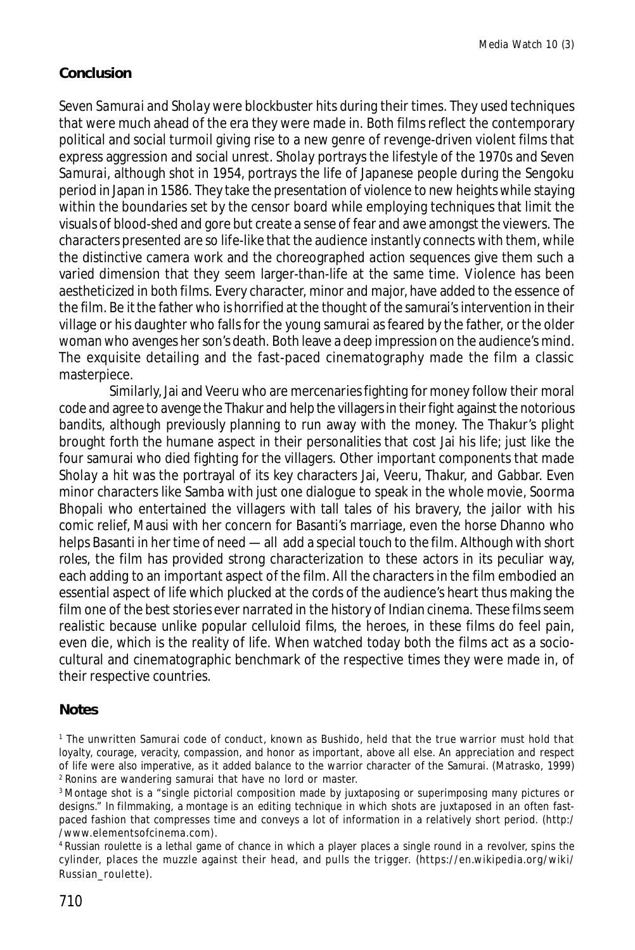# **Conclusion**

*Seven Samurai* and *Sholay* were blockbuster hits during their times. They used techniques that were much ahead of the era they were made in. Both films reflect the contemporary political and social turmoil giving rise to a new genre of revenge-driven violent films that express aggression and social unrest. *Sholay* portrays the lifestyle of the 1970s and *Seven Samurai*, although shot in 1954, portrays the life of Japanese people during the Sengoku period in Japan in 1586. They take the presentation of violence to new heights while staying within the boundaries set by the censor board while employing techniques that limit the visuals of blood-shed and gore but create a sense of fear and awe amongst the viewers. The characters presented are so life-like that the audience instantly connects with them, while the distinctive camera work and the choreographed action sequences give them such a varied dimension that they seem larger-than-life at the same time. Violence has been aestheticized in both films. Every character, minor and major, have added to the essence of the film. Be it the father who is horrified at the thought of the samurai's intervention in their village or his daughter who falls for the young samurai as feared by the father, or the older woman who avenges her son's death. Both leave a deep impression on the audience's mind. The exquisite detailing and the fast-paced cinematography made the film a classic masterpiece.

Similarly, Jai and Veeru who are mercenaries fighting for money follow their moral code and agree to avenge the Thakur and help the villagers in their fight against the notorious bandits, although previously planning to run away with the money. The Thakur's plight brought forth the humane aspect in their personalities that cost Jai his life; just like the four samurai who died fighting for the villagers. Other important components that made *Sholay* a hit was the portrayal of its key characters Jai, Veeru, Thakur, and Gabbar. Even minor characters like Samba with just one dialogue to speak in the whole movie, Soorma Bhopali who entertained the villagers with tall tales of his bravery, the jailor with his comic relief, Mausi with her concern for Basanti's marriage, even the horse Dhanno who helps Basanti in her time of need — all add a special touch to the film. Although with short roles, the film has provided strong characterization to these actors in its peculiar way, each adding to an important aspect of the film. All the characters in the film embodied an essential aspect of life which plucked at the cords of the audience's heart thus making the film one of the best stories ever narrated in the history of Indian cinema. These films seem realistic because unlike popular celluloid films, the heroes, in these films do feel pain, even die, which is the reality of life. When watched today both the films act as a sociocultural and cinematographic benchmark of the respective times they were made in, of their respective countries.

### **Notes**

<sup>1</sup> The unwritten Samurai code of conduct, known as Bushido, held that the true warrior must hold that loyalty, courage, veracity, compassion, and honor as important, above all else. An appreciation and respect of life were also imperative, as it added balance to the warrior character of the Samurai. (Matrasko, 1999) <sup>2</sup>Ronins are wandering samurai that have no lord or master.

<sup>&</sup>lt;sup>3</sup> Montage shot is a "single pictorial composition made by juxtaposing or superimposing many pictures or designs." In filmmaking, a montage is an editing technique in which shots are juxtaposed in an often fastpaced fashion that compresses time and conveys a lot of information in a relatively short period. (http:/ /www.elementsofcinema.com).

<sup>&</sup>lt;sup>4</sup> Russian roulette is a lethal game of chance in which a player places a single round in a revolver, spins the cylinder, places the muzzle against their head, and pulls the trigger. (https://en.wikipedia.org/wiki/ Russian\_roulette).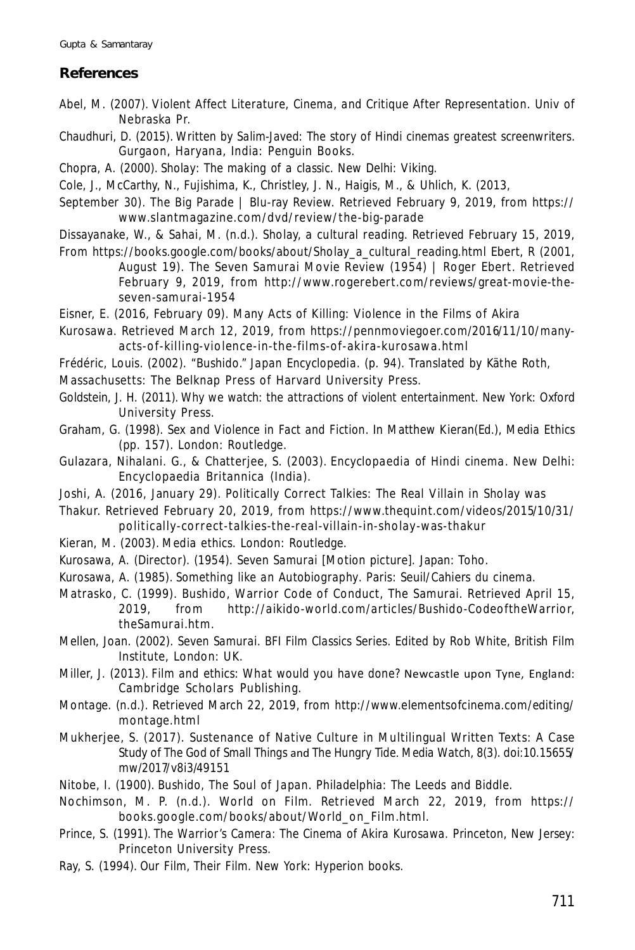## **References**

- Abel, M. (2007). *Violent Affect Literature, Cinema, and Critique After Representation*. Univ of Nebraska Pr.
- Chaudhuri, D. (2015). *Written by Salim-Javed: The story of Hindi cinemas greatest screenwriters*. Gurgaon, Haryana, India: Penguin Books.
- Chopra, A. (2000). *Sholay: The making of a classic*. New Delhi: Viking.
- Cole, J., McCarthy, N., Fujishima, K., Christley, J. N., Haigis, M., & Uhlich, K. (2013,
- September 30). The Big Parade | Blu-ray Review. Retrieved February 9, 2019, from https:// www.slantmagazine.com/dvd/review/the-big-parade
- Dissayanake, W., & Sahai, M. (n.d.). Sholay, a cultural reading. Retrieved February 15, 2019,
- From https://books.google.com/books/about/Sholay\_a\_cultural\_reading.html Ebert, R (2001, August 19). The Seven Samurai Movie Review (1954) | Roger Ebert. Retrieved February 9, 2019, from http://www.rogerebert.com/reviews/great-movie-theseven-samurai-1954
- Eisner, E. (2016, February 09). Many Acts of Killing: Violence in the Films of Akira
- Kurosawa. Retrieved March 12, 2019, from https://pennmoviegoer.com/2016/11/10/manyacts-of-killing-violence-in-the-films-of-akira-kurosawa.html
- Frédéric, Louis. (2002). "Bushido." *Japan Encyclopedia*. (p. 94). Translated by Käthe Roth,
- Massachusetts: The Belknap Press of Harvard University Press.
- Goldstein, J. H. (2011). *Why we watch: the attractions of violent entertainment*. New York: Oxford University Press.
- Graham, G. (1998). *Sex and Violence in Fact and Fiction*. In Matthew Kieran(Ed.), *Media Ethics* (pp. 157). London: Routledge.
- Gulazara, Nihalani. G., & Chatterjee, S. (2003). *Encyclopaedia of Hindi cinema*. New Delhi: Encyclopaedia Britannica (India).
- Joshi, A. (2016, January 29). Politically Correct Talkies: The Real Villain in Sholay was
- Thakur. Retrieved February 20, 2019, from https://www.thequint.com/videos/2015/10/31/ politically-correct-talkies-the-real-villain-in-sholay-was-thakur
- Kieran, M. (2003). *Media ethics*. London: Routledge.
- Kurosawa, A. (Director). (1954). *Seven Samurai* [Motion picture]. Japan: Toho.
- Kurosawa, A. (1985). *Something like an Autobiography*. Paris: Seuil/Cahiers du cinema.
- Matrasko, C. (1999). Bushido, Warrior Code of Conduct, The Samurai. Retrieved April 15, 2019, from http://aikido-world.com/articles/Bushido-CodeoftheWarrior, theSamurai.htm.
- Mellen, Joan. (2002). *Seven Samurai. BFI Film Classics Series*. Edited by Rob White, British Film Institute, London: UK.
- Miller, J. (2013). *Film and ethics: What would you have done?* Newcastle upon Tyne, England: Cambridge Scholars Publishing.
- Montage. (n.d.). Retrieved March 22, 2019, from http://www.elementsofcinema.com/editing/ montage.html
- Mukherjee, S. (2017). Sustenance of Native Culture in Multilingual Written Texts: A Case Study of *The God of Small Things* and *The Hungry Tide*. *Media Watch, 8*(3). doi:10.15655/ mw/2017/v8i3/49151
- Nitobe, I. (1900). *Bushido, The Soul of Japan*. Philadelphia: The Leeds and Biddle.
- Nochimson, M. P. (n.d.). World on Film. Retrieved March 22, 2019, from https:// books.google.com/books/about/World\_on\_Film.html.
- Prince, S. (1991). *The Warrior's Camera: The Cinema of Akira Kurosawa.* Princeton, New Jersey: Princeton University Press.
- Ray, S. (1994). *Our Film, Their Film*. New York: Hyperion books.